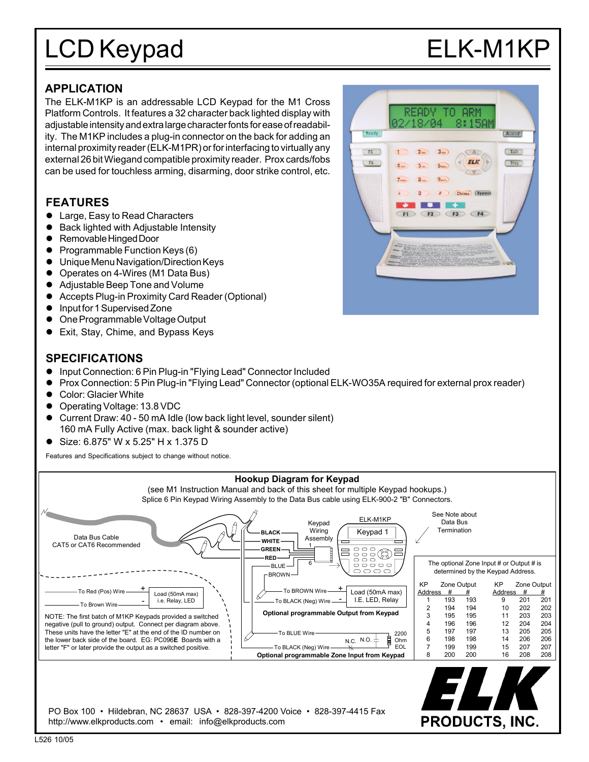# LCD Keypad ELK-M1KP

Armed

Lair

 $5tay$ 

READY

 $2...$ 

 $5<sub>m</sub>$  $6 -$ 

 $3<sub>nn</sub>$ 

 $Q_{\text{max}}$  $3<sub>cm</sub>$  $\circ$ 

ø

- -

 $F2$ 

Rendy

 $55$ 

 $F6$ 

TO ARM

 $\Delta$ 

V

Chime (Bypass

 $F3$ 

 $ELK$ 

 $F4$ 

# **APPLICATION**

The ELK-M1KP is an addressable LCD Keypad for the M1 Cross Platform Controls. It features a 32 character back lighted display with adjustable intensity and extra large character fonts for ease of readability. The M1KP includes a plug-in connector on the back for adding an internal proximity reader (ELK-M1PR) or for interfacing to virtually any external 26 bit Wiegand compatible proximity reader. Prox cards/fobs can be used for touchless arming, disarming, door strike control, etc.

# **FEATURES**

- Large, Easy to Read Characters
- ! Back lighted with Adjustable Intensity
- Removable Hinged Door
- ! Programmable Function Keys (6)
- ! Unique Menu Navigation/Direction Keys
- ! Operates on 4-Wires (M1 Data Bus)
- ! Adjustable Beep Tone and Volume
- ! Accepts Plug-in Proximity Card Reader (Optional)
- ! Input for 1 Supervised Zone
- ! One Programmable Voltage Output
- Exit, Stay, Chime, and Bypass Keys

# **SPECIFICATIONS**

- ! Input Connection: 6 Pin Plug-in "Flying Lead" Connector Included
- ! Prox Connection: 5 Pin Plug-in "Flying Lead" Connector (optional ELK-WO35A required for external prox reader)
- **Color: Glacier White**
- ! Operating Voltage: 13.8 VDC
- ! Current Draw: 40 50 mA Idle (low back light level, sounder silent) 160 mA Fully Active (max. back light & sounder active)
- ! Size: 6.875" W x 5.25" H x 1.375 D

Features and Specifications subject to change without notice.

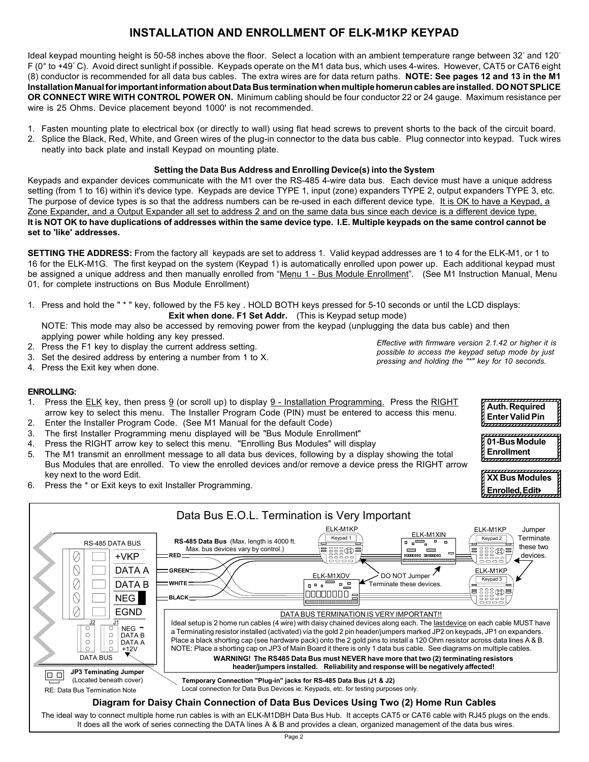# **INSTALLATION AND ENROLLMENT OF ELK-M1KP KEYPAD**

ldeal keypad mounting height is 50-58 inches above the floor. Select a location with an ambient temperature range between 32° and 120° F (0° to +49° C). Avoid direct sunlight if possible. Keypads operate on the M1 data bus, which uses 4-wires. However, CAT5 or CAT6 eight (8) conductor is recommended for all data bus cables. The extra wires are for data return paths. **NOTE: See pages 12 and 13 in the M1 Installation Manual for important information about Data Bus termination when multiple homerun cables are installed. DO NOT SPLICE OR CONNECT WIRE WITH CONTROL POWER ON.** Minimum cabling should be four conductor 22 or 24 gauge. Maximum resistance per wire is 25 Ohms. Device placement beyond 1000' is not recommended.

- 1. Fasten mounting plate to electrical box (or directly to wall) using flat head screws to prevent shorts to the back of the circuit board.
- 2. Splice the Black, Red, White, and Green wires of the plug-in connector to the data bus cable. Plug connector into keypad. Tuck wires neatly into back plate and install Keypad on mounting plate.

### **Setting the Data Bus Address and Enrolling Device(s) into the System**

Keypads and expander devices communicate with the M1 over the RS-485 4-wire data bus. Each device must have a unique address setting (from 1 to 16) within it's device type. Keypads are device TYPE 1, input (zone) expanders TYPE 2, output expanders TYPE 3, etc. The purpose of device types is so that the address numbers can be re-used in each different device type. It is OK to have a Keypad, a Zone Expander, and a Output Expander all set to address 2 and on the same data bus since each device is a different device type. **It is NOT OK to have duplications of addresses within the same device type. I.E. Multiple keypads on the same control cannot be set to 'like' addresses.**

**SETTING THE ADDRESS:** From the factory all keypads are set to address 1. Valid keypad addresses are 1 to 4 for the ELK-M1, or 1 to 16 for the ELK-M1G. The first keypad on the system (Keypad 1) is automatically enrolled upon power up. Each additional keypad must be assigned a unique address and then manually enrolled from "Menu 1 - Bus Module Enrollment". (See M1 Instruction Manual, Menu 01, for complete instructions on Bus Module Enrollment)

1. Press and hold the " \* " key, followed by the F5 key . HOLD BOTH keys pressed for 5-10 seconds or until the LCD displays: **Exit when done. F1 Set Addr.** (This is Keypad setup mode)

NOTE: This mode may also be accessed by removing power from the keypad (unplugging the data bus cable) and then applying power while holding any key pressed.

- 2. Press the F1 key to display the current address setting.
- 3. Set the desired address by entering a number from 1 to X.
- 4. Press the Exit key when done.

*Effective with firmware version 2.1.42 or higher it is possible to access the keypad setup mode by just pressing and holding the "\*" key for 10 seconds.*

> 1234567890123456789012345 **Auth. Required** | **Enter Valid Pin** | 1 5 1234567890123456789012345 1234567890123456789012345 **201-Bus Module P Enrollment** b <del>,,,,,,,,,,,,,,,,</del>

> 1234567890123456789012345 **XX Bus Modules** h 1234567890123456789012345 **Enrolled, Editreck** 1234567890123456789012345

### **ENROLLING:**

- 1. Press the ELK key, then press  $9$  (or scroll up) to display  $9$  Installation Programming. Press the RIGHT arrow key to select this menu. The Installer Program Code (PIN) must be entered to access this menu.
- 2. Enter the Installer Program Code. (See M1 Manual for the default Code)
- 3. The first Installer Programming menu displayed will be "Bus Module Enrollment"
- 4. Press the RIGHT arrow key to select this menu. "Enrolling Bus Modules" will display
- 5. The M1 transmit an enrollment message to all data bus devices, following by a display showing the total Bus Modules that are enrolled. To view the enrolled devices and/or remove a device press the RIGHT arrow key next to the word Edit.
- 6. Press the \* or Exit keys to exit Installer Programming.



The ideal way to connect multiple home run cables is with an ELK-M1DBH Data Bus Hub. It accepts CAT5 or CAT6 cable with RJ45 plugs on the ends. It does all the work of series connecting the DATA lines A & B and provides a clean, organized management of the data bus wires.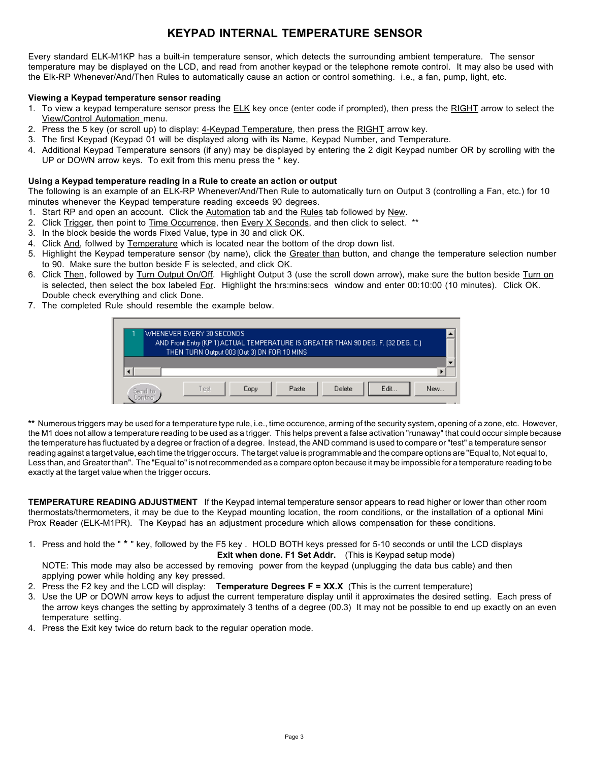# **KEYPAD INTERNAL TEMPERATURE SENSOR**

Every standard ELK-M1KP has a built-in temperature sensor, which detects the surrounding ambient temperature. The sensor temperature may be displayed on the LCD, and read from another keypad or the telephone remote control. It may also be used with the Elk-RP Whenever/And/Then Rules to automatically cause an action or control something. i.e., a fan, pump, light, etc.

#### **Viewing a Keypad temperature sensor reading**

- 1. To view a keypad temperature sensor press the ELK key once (enter code if prompted), then press the RIGHT arrow to select the View/Control Automation menu.
- 2. Press the 5 key (or scroll up) to display: 4-Keypad Temperature, then press the RIGHT arrow key.
- 3. The first Keypad (Keypad 01 will be displayed along with its Name, Keypad Number, and Temperature.
- 4. Additional Keypad Temperature sensors (if any) may be displayed by entering the 2 digit Keypad number OR by scrolling with the UP or DOWN arrow keys. To exit from this menu press the \* key.

#### **Using a Keypad temperature reading in a Rule to create an action or output**

The following is an example of an ELK-RP Whenever/And/Then Rule to automatically turn on Output 3 (controlling a Fan, etc.) for 10 minutes whenever the Keypad temperature reading exceeds 90 degrees.

- 1. Start RP and open an account. Click the Automation tab and the Rules tab followed by New.
- 2. Click Trigger, then point to Time Occurrence, then Every X Seconds, and then click to select. \*\*
- 3. In the block beside the words Fixed Value, type in 30 and click OK.
- 4. Click And, follwed by Temperature which is located near the bottom of the drop down list.
- 5. Highlight the Keypad temperature sensor (by name), click the Greater than button, and change the temperature selection number to 90. Make sure the button beside F is selected, and click OK.
- 6. Click Then, followed by Turn Output On/Off. Highlight Output 3 (use the scroll down arrow), make sure the button beside Turn on is selected, then select the box labeled For. Highlight the hrs:mins:secs window and enter 00:10:00 (10 minutes). Click OK. Double check everything and click Done.
- 7. The completed Rule should resemble the example below.

|  | WHENEVER EVERY 30 SECONDS.                                                                                                       |      |       |        |      |     |
|--|----------------------------------------------------------------------------------------------------------------------------------|------|-------|--------|------|-----|
|  | AND Front Entry (KP 1) ACTUAL TEMPERATURE IS GREATER THAN 90 DEG. F. (32 DEG. C.)<br>THEN TURN Output 003 (Out 3) ON FOR 10 MINS |      |       |        |      |     |
|  |                                                                                                                                  |      |       |        |      |     |
|  |                                                                                                                                  |      |       |        |      |     |
|  | Test                                                                                                                             | Copy | Paste | Delete | Edit | New |

**\*\*** Numerous triggers may be used for a temperature type rule, i.e., time occurence, arming of the security system, opening of a zone, etc. However, the M1 does not allow a temperature reading to be used as a trigger. This helps prevent a false activation "runaway" that could occur simple because the temperature has fluctuated by a degree or fraction of a degree. Instead, the AND command is used to compare or "test" a temperature sensor reading against a target value, each time the trigger occurs. The target value is programmable and the compare options are "Equal to, Not equal to, Less than, and Greater than". The "Equal to" is not recommended as a compare opton because it may be impossible for a temperature reading to be exactly at the target value when the trigger occurs.

**TEMPERATURE READING ADJUSTMENT** If the Keypad internal temperature sensor appears to read higher or lower than other room thermostats/thermometers, it may be due to the Keypad mounting location, the room conditions, or the installation of a optional Mini Prox Reader (ELK-M1PR). The Keypad has an adjustment procedure which allows compensation for these conditions.

1. Press and hold the " **\*** " key, followed by the F5 key . HOLD BOTH keys pressed for 5-10 seconds or until the LCD displays **Exit when done. F1 Set Addr.** (This is Keypad setup mode)

NOTE: This mode may also be accessed by removing power from the keypad (unplugging the data bus cable) and then applying power while holding any key pressed.

- 2. Press the F2 key and the LCD will display: **Temperature Degrees F = XX.X** (This is the current temperature)
- 3. Use the UP or DOWN arrow keys to adjust the current temperature display until it approximates the desired setting. Each press of the arrow keys changes the setting by approximately 3 tenths of a degree (00.3) It may not be possible to end up exactly on an even temperature setting.
- 4. Press the Exit key twice do return back to the regular operation mode.